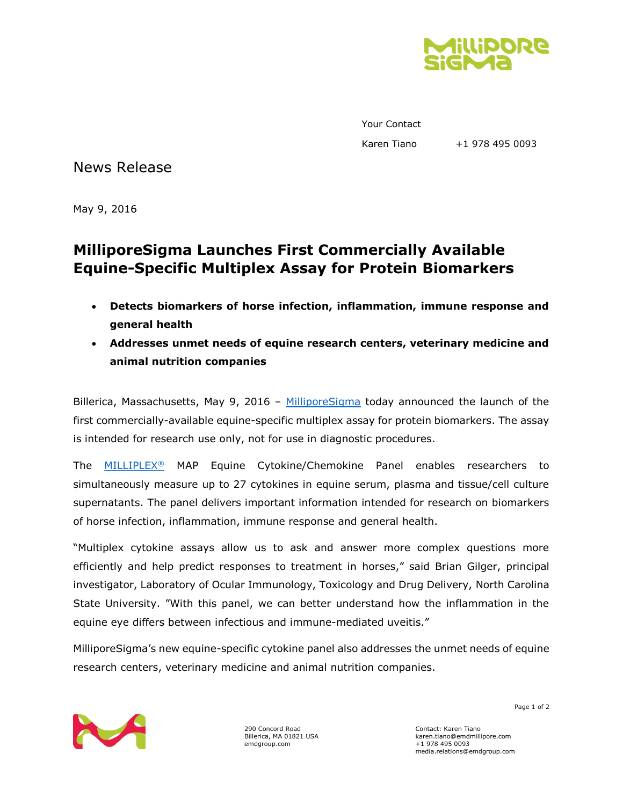

Your Contact Karen Tiano +1 978 495 0093

News Release

May 9, 2016

## **MilliporeSigma Launches First Commercially Available Equine-Specific Multiplex Assay for Protein Biomarkers**

- **Detects biomarkers of horse infection, inflammation, immune response and general health**
- **Addresses unmet needs of equine research centers, veterinary medicine and animal nutrition companies**

Billerica, Massachusetts, May 9, 2016 - [MilliporeSigma](http://www.emdgroup.com/emd/products/life_science/life_science.html) today announced the launch of the first commercially-available equine-specific multiplex assay for protein biomarkers. The assay is intended for research use only, not for use in diagnostic procedures.

The [MILLIPLEX](http://www.emdmillipore.com/US/en/life-science-research/protein-detection-quantification/Immunoassay-Platform-Solutions/milliplex-multiplex-assays-using-luminex/UjGb.qB.8WQAAAE_rn8RHeN.,nav)® MAP Equine Cytokine/Chemokine Panel enables researchers to simultaneously measure up to 27 cytokines in equine serum, plasma and tissue/cell culture supernatants. The panel delivers important information intended for research on biomarkers of horse infection, inflammation, immune response and general health.

"Multiplex cytokine assays allow us to ask and answer more complex questions more efficiently and help predict responses to treatment in horses," said Brian Gilger, principal investigator, Laboratory of Ocular Immunology, Toxicology and Drug Delivery, North Carolina State University. "With this panel, we can better understand how the inflammation in the equine eye differs between infectious and immune-mediated uveitis."

MilliporeSigma's new equine-specific cytokine panel also addresses the unmet needs of equine research centers, veterinary medicine and animal nutrition companies.



290 Concord Road Billerica, MA 01821 USA emdgroup.com

Contact: Karen Tiano karen.tiano@emdmillipore.com +1 978 495 0093 media.relations@emdgroup.com

Page 1 of 2